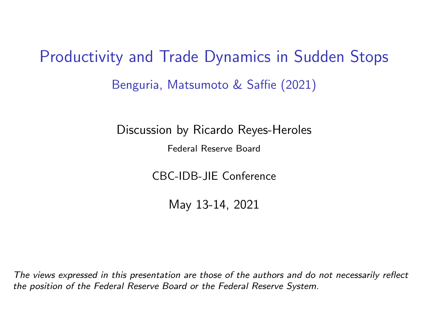<span id="page-0-0"></span>Productivity and Trade Dynamics in Sudden Stops Benguria, Matsumoto & Saffie (2021)

Discussion by Ricardo Reyes-Heroles

Federal Reserve Board

CBC-IDB-JIE Conference

May 13-14, 2021

The views expressed in this presentation are those of the authors and do not necessarily reflect the position of the Federal Reserve Board or the Federal Reserve System.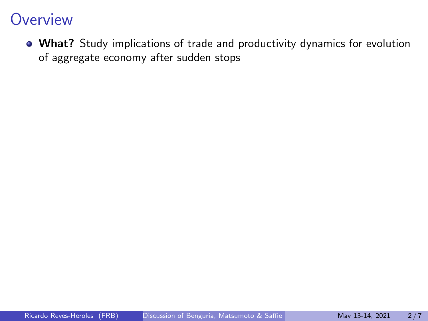What? Study implications of trade and productivity dynamics for evolution of aggregate economy after sudden stops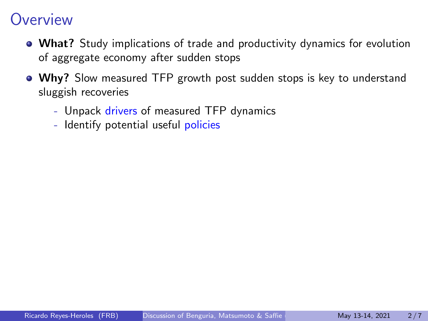- What? Study implications of trade and productivity dynamics for evolution of aggregate economy after sudden stops
- Why? Slow measured TFP growth post sudden stops is key to understand sluggish recoveries
	- Unpack drivers of measured TFP dynamics
	- Identify potential useful policies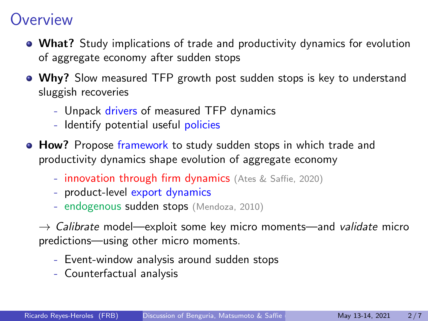- What? Study implications of trade and productivity dynamics for evolution of aggregate economy after sudden stops
- Why? Slow measured TFP growth post sudden stops is key to understand sluggish recoveries
	- Unpack drivers of measured TFP dynamics
	- Identify potential useful policies
- **How?** Propose framework to study sudden stops in which trade and productivity dynamics shape evolution of aggregate economy
	- **innovation through firm dynamics** (Ates & Saffie, 2020)
	- product-level export dynamics
	- endogenous sudden stops (Mendoza, 2010)

 $\rightarrow$  Calibrate model—exploit some key micro moments—and validate micro predictions—using other micro moments.

- Event-window analysis around sudden stops
- Counterfactual analysis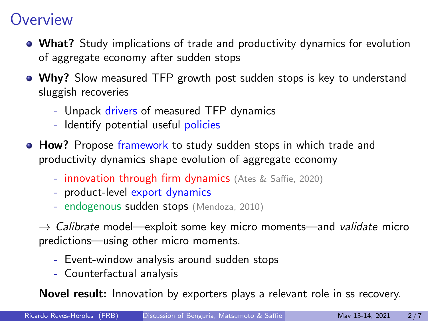- What? Study implications of trade and productivity dynamics for evolution of aggregate economy after sudden stops
- Why? Slow measured TFP growth post sudden stops is key to understand sluggish recoveries
	- Unpack drivers of measured TFP dynamics
	- Identify potential useful policies
- **How?** Propose framework to study sudden stops in which trade and productivity dynamics shape evolution of aggregate economy
	- **innovation through firm dynamics** (Ates & Saffie, 2020)
	- product-level export dynamics
	- endogenous sudden stops (Mendoza, 2010)

 $\rightarrow$  Calibrate model—exploit some key micro moments—and validate micro predictions—using other micro moments.

- Event-window analysis around sudden stops
- Counterfactual analysis

Novel result: Innovation by exporters plays a relevant role in ss recovery.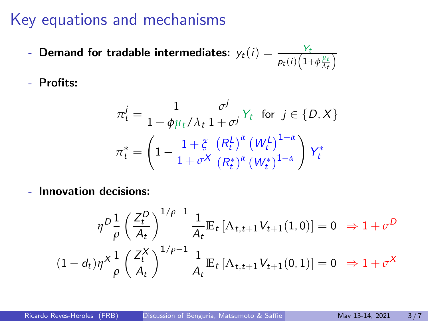## Key equations and mechanisms

- Demand for tradable intermediates:  $y_t(i) = \frac{Y_t}{p_t(i)\left(1+\phi\frac{\mu_t}{\lambda_t}\right)}$
- Profits:

$$
\pi_t^j = \frac{1}{1 + \phi \mu_t / \lambda_t} \frac{\sigma^j}{1 + \sigma^j} Y_t \quad \text{for} \quad j \in \{D, X\}
$$
\n
$$
\pi_t^* = \left(1 - \frac{1 + \xi}{1 + \sigma^X} \frac{\left(R_t^L\right)^\alpha \left(W_t^L\right)^{1 - \alpha}}{\left(R_t^*\right)^\alpha \left(W_t^*\right)^{1 - \alpha}}\right) Y_t^*
$$

- Innovation decisions:

$$
\eta^{D} \frac{1}{\rho} \left( \frac{Z_t^{D}}{A_t} \right)^{1/\rho - 1} \frac{1}{A_t} \mathbb{E}_t \left[ \Lambda_{t, t+1} V_{t+1}(1, 0) \right] = 0 \Rightarrow 1 + \sigma^D
$$
  

$$
(1 - d_t) \eta^X \frac{1}{\rho} \left( \frac{Z_t^X}{A_t} \right)^{1/\rho - 1} \frac{1}{A_t} \mathbb{E}_t \left[ \Lambda_{t, t+1} V_{t+1}(0, 1) \right] = 0 \Rightarrow 1 + \sigma^X
$$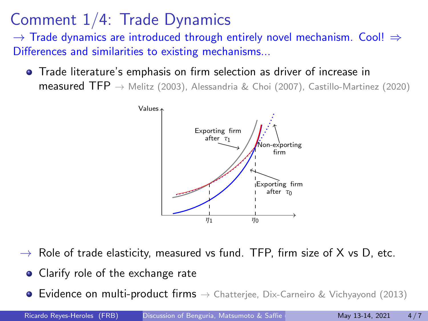# Comment 1/4: Trade Dynamics

 $\rightarrow$  Trade dynamics are introduced through entirely novel mechanism. Cool!  $\Rightarrow$ Differences and similarities to existing mechanisms...

Trade literature's emphasis on firm selection as driver of increase in measured TFP  $\rightarrow$  Melitz (2003), Alessandria & Choi (2007), Castillo-Martinez (2020)



- $\rightarrow$  Role of trade elasticity, measured vs fund. TFP, firm size of X vs D, etc.
	- Clarify role of the exchange rate
	- **Evidence on multi-product firms**  $\rightarrow$  Chatteriee, Dix-Carneiro & Vichyayond (2013)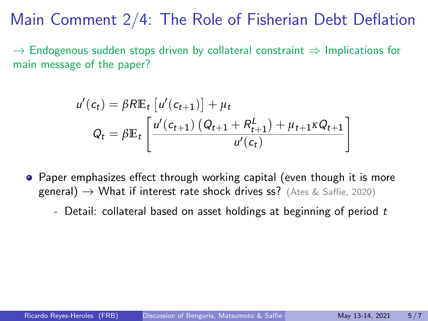Main Comment 2/4: The Role of Fisherian Debt Deflation

 $\rightarrow$  Endogenous sudden stops driven by collateral constraint  $\Rightarrow$  Implications for main message of the paper?

$$
u'(c_t) = \beta R \mathbb{E}_t \left[ u'(c_{t+1}) \right] + \mu_t
$$
  

$$
Q_t = \beta \mathbb{E}_t \left[ \frac{u'(c_{t+1}) \left( Q_{t+1} + R_{t+1}^L \right) + \mu_{t+1} \kappa Q_{t+1}}{u'(c_t)} \right]
$$

- Paper emphasizes effect through working capital (even though it is more general)  $\rightarrow$  What if interest rate shock drives ss? (Ates & Saffie, 2020)
	- Detail: collateral based on asset holdings at beginning of period  $t$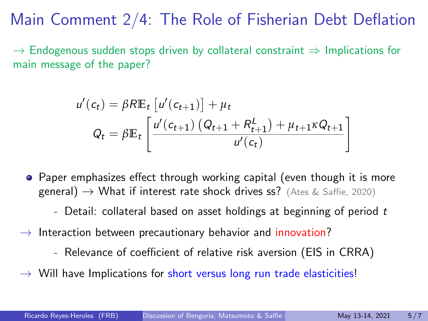Main Comment 2/4: The Role of Fisherian Debt Deflation

 $\rightarrow$  Endogenous sudden stops driven by collateral constraint  $\Rightarrow$  Implications for main message of the paper?

$$
u'(c_t) = \beta R \mathbb{E}_t \left[ u'(c_{t+1}) \right] + \mu_t
$$
  

$$
Q_t = \beta \mathbb{E}_t \left[ \frac{u'(c_{t+1}) \left( Q_{t+1} + R_{t+1}^L \right) + \mu_{t+1} \kappa Q_{t+1}}{u'(c_t)} \right]
$$

- Paper emphasizes effect through working capital (even though it is more general)  $\rightarrow$  What if interest rate shock drives ss? (Ates & Saffie, 2020)
	- Detail: collateral based on asset holdings at beginning of period  $t$
- $\rightarrow$  Interaction between precautionary behavior and innovation?
	- Relevance of coefficient of relative risk aversion (EIS in CRRA)
- $\rightarrow$  Will have Implications for short versus long run trade elasticities!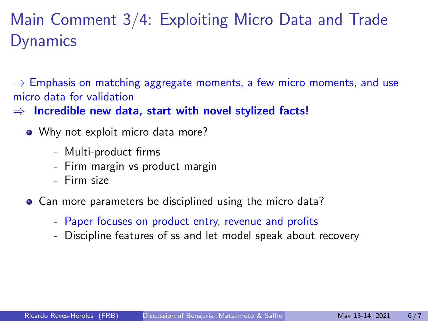# Main Comment 3/4: Exploiting Micro Data and Trade **Dynamics**

 $\rightarrow$  Emphasis on matching aggregate moments, a few micro moments, and use micro data for validation

 $\Rightarrow$  Incredible new data, start with novel stylized facts!

- Why not exploit micro data more?
	- Multi-product firms
	- Firm margin vs product margin
	- Firm size
- Can more parameters be disciplined using the micro data?
	- Paper focuses on product entry, revenue and profits
	- Discipline features of ss and let model speak about recovery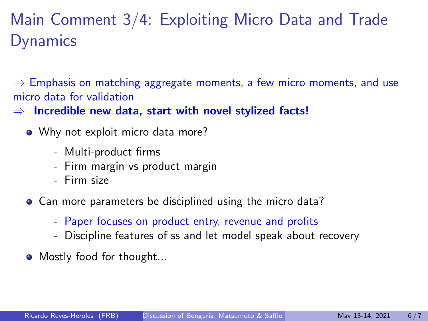# Main Comment 3/4: Exploiting Micro Data and Trade **Dynamics**

 $\rightarrow$  Emphasis on matching aggregate moments, a few micro moments, and use micro data for validation

 $\Rightarrow$  Incredible new data, start with novel stylized facts!

- Why not exploit micro data more?
	- Multi-product firms
	- Firm margin vs product margin
	- Firm size
- Can more parameters be disciplined using the micro data?
	- Paper focuses on product entry, revenue and profits
	- Discipline features of ss and let model speak about recovery
- Mostly food for thought...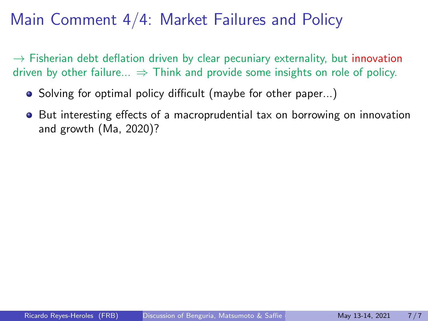# Main Comment 4/4: Market Failures and Policy

 $\rightarrow$  Fisherian debt deflation driven by clear pecuniary externality, but innovation driven by other failure...  $\Rightarrow$  Think and provide some insights on role of policy.

- Solving for optimal policy difficult (maybe for other paper...)
- **•** But interesting effects of a macroprudential tax on borrowing on innovation and growth (Ma, 2020)?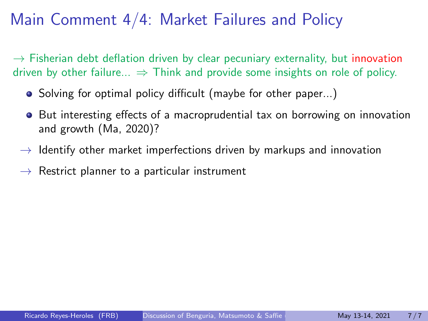# Main Comment 4/4: Market Failures and Policy

 $\rightarrow$  Fisherian debt deflation driven by clear pecuniary externality, but innovation driven by other failure...  $\Rightarrow$  Think and provide some insights on role of policy.

- Solving for optimal policy difficult (maybe for other paper...)
- **•** But interesting effects of a macroprudential tax on borrowing on innovation and growth (Ma, 2020)?
- $\rightarrow$  Identify other market imperfections driven by markups and innovation
- $\rightarrow$  Restrict planner to a particular instrument